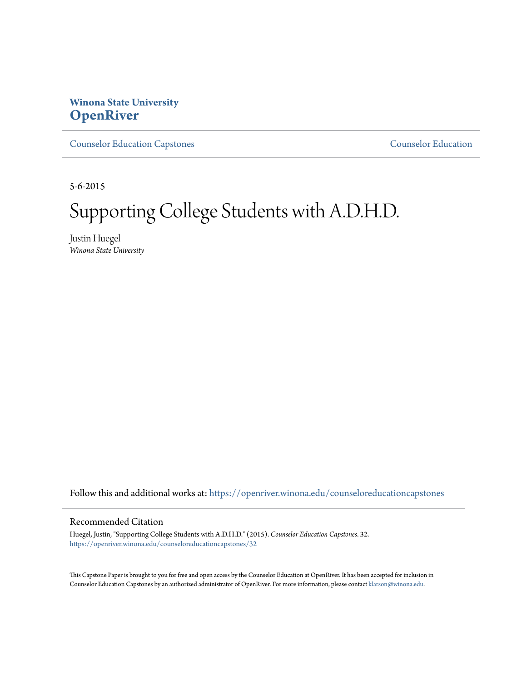# **Winona State University [OpenRiver](https://openriver.winona.edu?utm_source=openriver.winona.edu%2Fcounseloreducationcapstones%2F32&utm_medium=PDF&utm_campaign=PDFCoverPages)**

[Counselor Education Capstones](https://openriver.winona.edu/counseloreducationcapstones?utm_source=openriver.winona.edu%2Fcounseloreducationcapstones%2F32&utm_medium=PDF&utm_campaign=PDFCoverPages) [Counselor Education](https://openriver.winona.edu/counseloreducation?utm_source=openriver.winona.edu%2Fcounseloreducationcapstones%2F32&utm_medium=PDF&utm_campaign=PDFCoverPages)

5-6-2015

# Supporting College Students with A.D.H.D.

Justin Huegel *Winona State University*

Follow this and additional works at: [https://openriver.winona.edu/counseloreducationcapstones](https://openriver.winona.edu/counseloreducationcapstones?utm_source=openriver.winona.edu%2Fcounseloreducationcapstones%2F32&utm_medium=PDF&utm_campaign=PDFCoverPages)

#### Recommended Citation

Huegel, Justin, "Supporting College Students with A.D.H.D." (2015). *Counselor Education Capstones*. 32. [https://openriver.winona.edu/counseloreducationcapstones/32](https://openriver.winona.edu/counseloreducationcapstones/32?utm_source=openriver.winona.edu%2Fcounseloreducationcapstones%2F32&utm_medium=PDF&utm_campaign=PDFCoverPages)

This Capstone Paper is brought to you for free and open access by the Counselor Education at OpenRiver. It has been accepted for inclusion in Counselor Education Capstones by an authorized administrator of OpenRiver. For more information, please contact [klarson@winona.edu](mailto:klarson@winona.edu).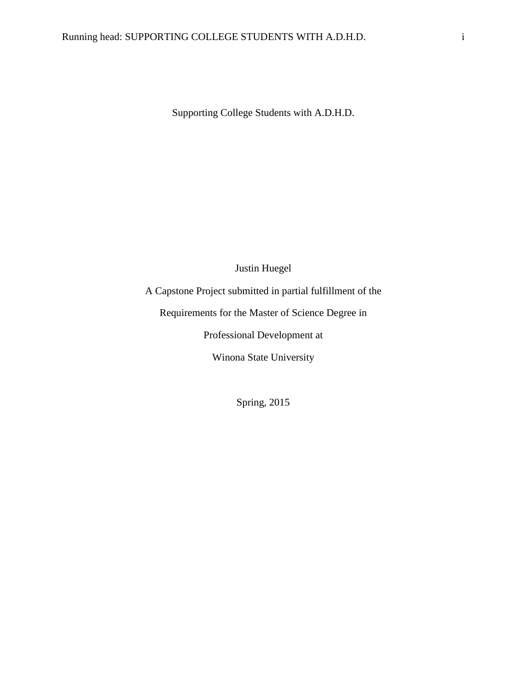Supporting College Students with A.D.H.D.

## Justin Huegel

A Capstone Project submitted in partial fulfillment of the

Requirements for the Master of Science Degree in

Professional Development at

Winona State University

Spring, 2015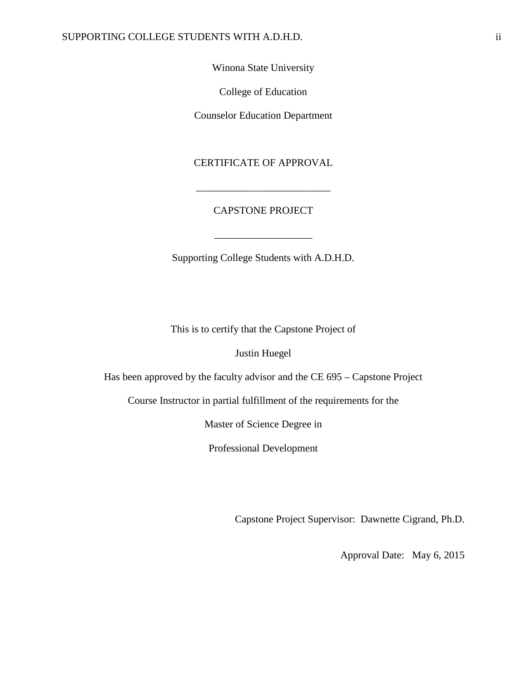Winona State University

College of Education

Counselor Education Department

CERTIFICATE OF APPROVAL

## CAPSTONE PROJECT

\_\_\_\_\_\_\_\_\_\_\_\_\_\_\_\_\_\_\_

\_\_\_\_\_\_\_\_\_\_\_\_\_\_\_\_\_\_\_\_\_\_\_\_\_\_

Supporting College Students with A.D.H.D.

This is to certify that the Capstone Project of

Justin Huegel

Has been approved by the faculty advisor and the CE 695 – Capstone Project

Course Instructor in partial fulfillment of the requirements for the

Master of Science Degree in

Professional Development

Capstone Project Supervisor: Dawnette Cigrand, Ph.D.

Approval Date: May 6, 2015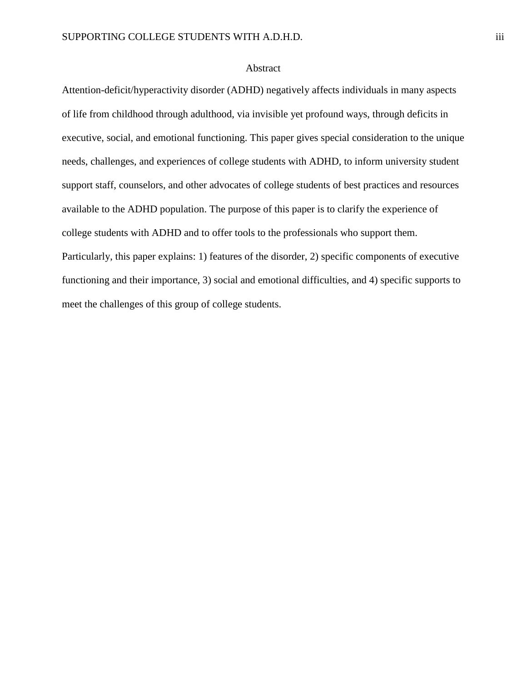## Abstract

Attention-deficit/hyperactivity disorder (ADHD) negatively affects individuals in many aspects of life from childhood through adulthood, via invisible yet profound ways, through deficits in executive, social, and emotional functioning. This paper gives special consideration to the unique needs, challenges, and experiences of college students with ADHD, to inform university student support staff, counselors, and other advocates of college students of best practices and resources available to the ADHD population. The purpose of this paper is to clarify the experience of college students with ADHD and to offer tools to the professionals who support them. Particularly, this paper explains: 1) features of the disorder, 2) specific components of executive functioning and their importance, 3) social and emotional difficulties, and 4) specific supports to meet the challenges of this group of college students.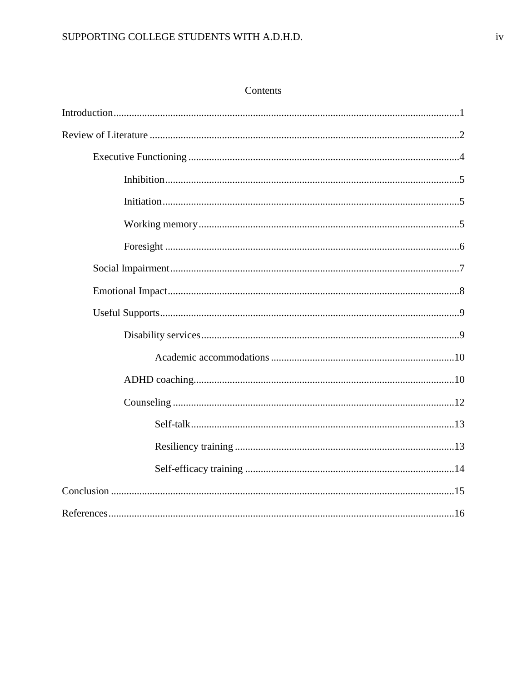# SUPPORTING COLLEGE STUDENTS WITH A.D.H.D.

## Contents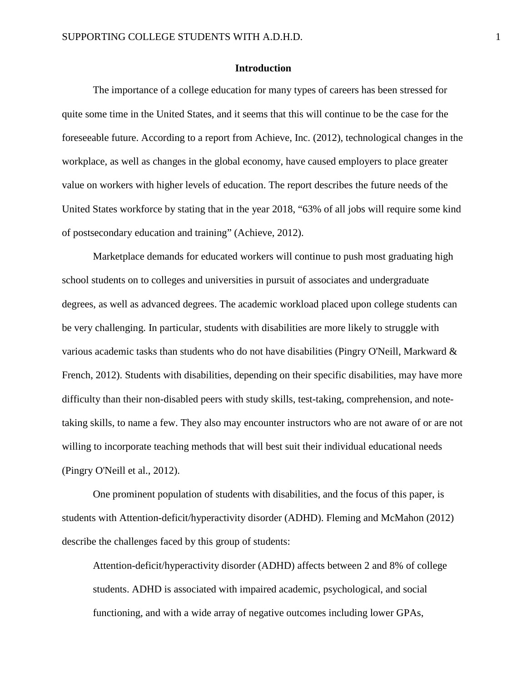## **Introduction**

The importance of a college education for many types of careers has been stressed for quite some time in the United States, and it seems that this will continue to be the case for the foreseeable future. According to a report from Achieve, Inc. (2012), technological changes in the workplace, as well as changes in the global economy, have caused employers to place greater value on workers with higher levels of education. The report describes the future needs of the United States workforce by stating that in the year 2018, "63% of all jobs will require some kind of postsecondary education and training" (Achieve, 2012).

Marketplace demands for educated workers will continue to push most graduating high school students on to colleges and universities in pursuit of associates and undergraduate degrees, as well as advanced degrees. The academic workload placed upon college students can be very challenging. In particular, students with disabilities are more likely to struggle with various academic tasks than students who do not have disabilities (Pingry O'Neill, Markward & French, 2012). Students with disabilities, depending on their specific disabilities, may have more difficulty than their non-disabled peers with study skills, test-taking, comprehension, and notetaking skills, to name a few. They also may encounter instructors who are not aware of or are not willing to incorporate teaching methods that will best suit their individual educational needs (Pingry O'Neill et al., 2012).

One prominent population of students with disabilities, and the focus of this paper, is students with Attention-deficit/hyperactivity disorder (ADHD). Fleming and McMahon (2012) describe the challenges faced by this group of students:

Attention-deficit/hyperactivity disorder (ADHD) affects between 2 and 8% of college students. ADHD is associated with impaired academic, psychological, and social functioning, and with a wide array of negative outcomes including lower GPAs,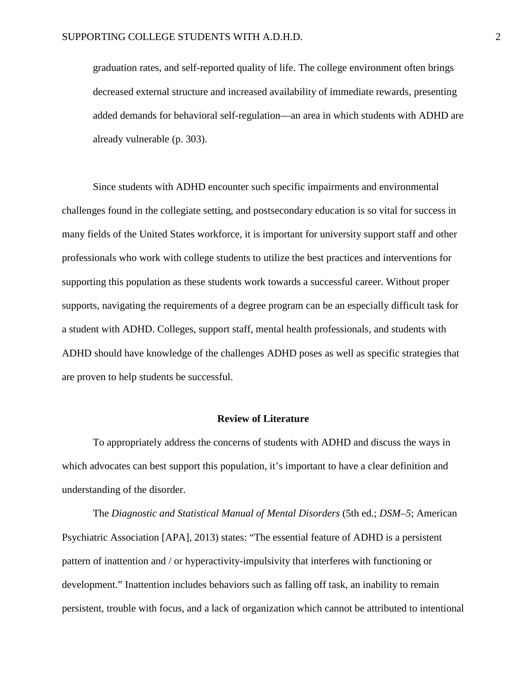graduation rates, and self-reported quality of life. The college environment often brings decreased external structure and increased availability of immediate rewards, presenting added demands for behavioral self-regulation—an area in which students with ADHD are already vulnerable (p. 303).

Since students with ADHD encounter such specific impairments and environmental challenges found in the collegiate setting, and postsecondary education is so vital for success in many fields of the United States workforce, it is important for university support staff and other professionals who work with college students to utilize the best practices and interventions for supporting this population as these students work towards a successful career. Without proper supports, navigating the requirements of a degree program can be an especially difficult task for a student with ADHD. Colleges, support staff, mental health professionals, and students with ADHD should have knowledge of the challenges ADHD poses as well as specific strategies that are proven to help students be successful.

#### **Review of Literature**

To appropriately address the concerns of students with ADHD and discuss the ways in which advocates can best support this population, it's important to have a clear definition and understanding of the disorder.

The *Diagnostic and Statistical Manual of Mental Disorders* (5th ed.; *DSM–5*; American Psychiatric Association [APA], 2013) states: "The essential feature of ADHD is a persistent pattern of inattention and / or hyperactivity-impulsivity that interferes with functioning or development." Inattention includes behaviors such as falling off task, an inability to remain persistent, trouble with focus, and a lack of organization which cannot be attributed to intentional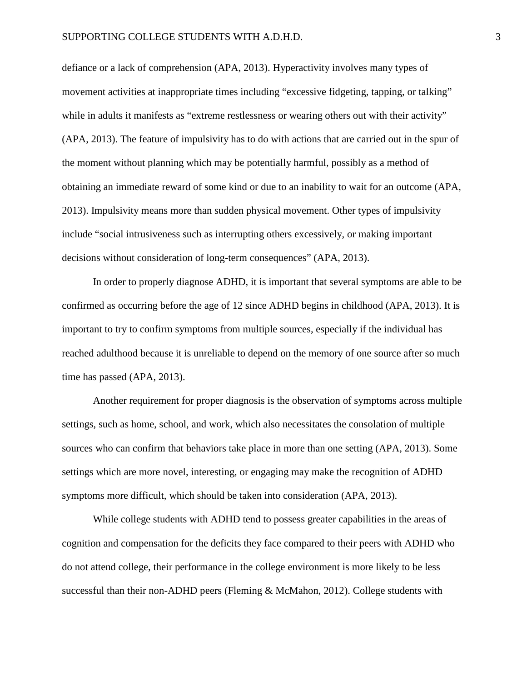defiance or a lack of comprehension (APA, 2013). Hyperactivity involves many types of movement activities at inappropriate times including "excessive fidgeting, tapping, or talking" while in adults it manifests as "extreme restlessness or wearing others out with their activity" (APA, 2013). The feature of impulsivity has to do with actions that are carried out in the spur of the moment without planning which may be potentially harmful, possibly as a method of obtaining an immediate reward of some kind or due to an inability to wait for an outcome (APA, 2013). Impulsivity means more than sudden physical movement. Other types of impulsivity include "social intrusiveness such as interrupting others excessively, or making important decisions without consideration of long-term consequences" (APA, 2013).

In order to properly diagnose ADHD, it is important that several symptoms are able to be confirmed as occurring before the age of 12 since ADHD begins in childhood (APA, 2013). It is important to try to confirm symptoms from multiple sources, especially if the individual has reached adulthood because it is unreliable to depend on the memory of one source after so much time has passed (APA, 2013).

Another requirement for proper diagnosis is the observation of symptoms across multiple settings, such as home, school, and work, which also necessitates the consolation of multiple sources who can confirm that behaviors take place in more than one setting (APA, 2013). Some settings which are more novel, interesting, or engaging may make the recognition of ADHD symptoms more difficult, which should be taken into consideration (APA, 2013).

While college students with ADHD tend to possess greater capabilities in the areas of cognition and compensation for the deficits they face compared to their peers with ADHD who do not attend college, their performance in the college environment is more likely to be less successful than their non-ADHD peers (Fleming & McMahon, 2012). College students with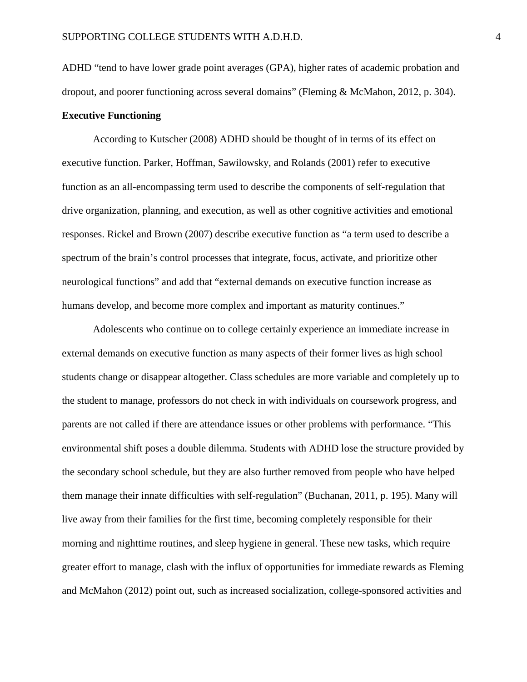ADHD "tend to have lower grade point averages (GPA), higher rates of academic probation and dropout, and poorer functioning across several domains" (Fleming & McMahon, 2012, p. 304). **Executive Functioning**

According to Kutscher (2008) ADHD should be thought of in terms of its effect on executive function. Parker, Hoffman, Sawilowsky, and Rolands (2001) refer to executive function as an all-encompassing term used to describe the components of self-regulation that drive organization, planning, and execution, as well as other cognitive activities and emotional responses. Rickel and Brown (2007) describe executive function as "a term used to describe a spectrum of the brain's control processes that integrate, focus, activate, and prioritize other neurological functions" and add that "external demands on executive function increase as humans develop, and become more complex and important as maturity continues."

Adolescents who continue on to college certainly experience an immediate increase in external demands on executive function as many aspects of their former lives as high school students change or disappear altogether. Class schedules are more variable and completely up to the student to manage, professors do not check in with individuals on coursework progress, and parents are not called if there are attendance issues or other problems with performance. "This environmental shift poses a double dilemma. Students with ADHD lose the structure provided by the secondary school schedule, but they are also further removed from people who have helped them manage their innate difficulties with self-regulation" (Buchanan, 2011, p. 195). Many will live away from their families for the first time, becoming completely responsible for their morning and nighttime routines, and sleep hygiene in general. These new tasks, which require greater effort to manage, clash with the influx of opportunities for immediate rewards as Fleming and McMahon (2012) point out, such as increased socialization, college-sponsored activities and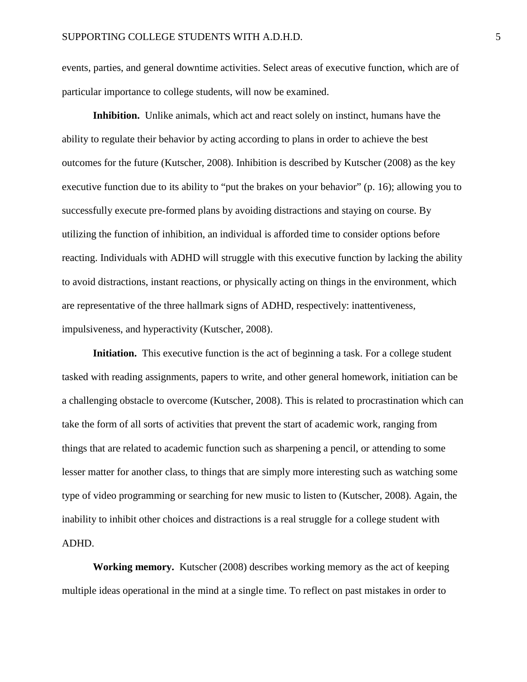events, parties, and general downtime activities. Select areas of executive function, which are of particular importance to college students, will now be examined.

**Inhibition.** Unlike animals, which act and react solely on instinct, humans have the ability to regulate their behavior by acting according to plans in order to achieve the best outcomes for the future (Kutscher, 2008). Inhibition is described by Kutscher (2008) as the key executive function due to its ability to "put the brakes on your behavior" (p. 16); allowing you to successfully execute pre-formed plans by avoiding distractions and staying on course. By utilizing the function of inhibition, an individual is afforded time to consider options before reacting. Individuals with ADHD will struggle with this executive function by lacking the ability to avoid distractions, instant reactions, or physically acting on things in the environment, which are representative of the three hallmark signs of ADHD, respectively: inattentiveness, impulsiveness, and hyperactivity (Kutscher, 2008).

**Initiation.** This executive function is the act of beginning a task. For a college student tasked with reading assignments, papers to write, and other general homework, initiation can be a challenging obstacle to overcome (Kutscher, 2008). This is related to procrastination which can take the form of all sorts of activities that prevent the start of academic work, ranging from things that are related to academic function such as sharpening a pencil, or attending to some lesser matter for another class, to things that are simply more interesting such as watching some type of video programming or searching for new music to listen to (Kutscher, 2008). Again, the inability to inhibit other choices and distractions is a real struggle for a college student with ADHD.

**Working memory.** Kutscher (2008) describes working memory as the act of keeping multiple ideas operational in the mind at a single time. To reflect on past mistakes in order to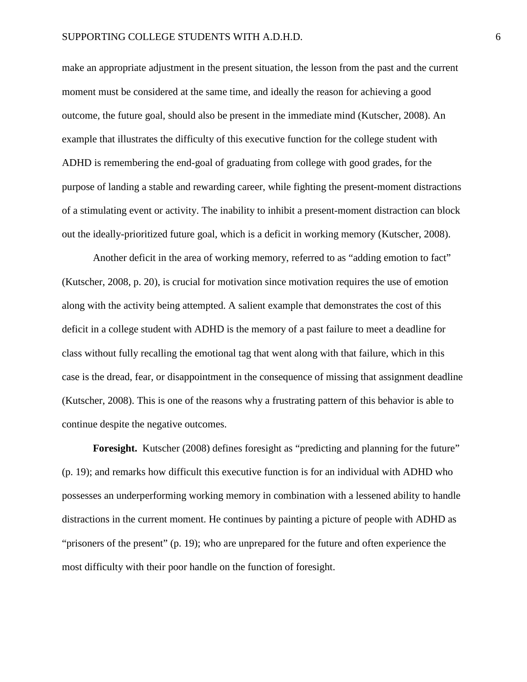make an appropriate adjustment in the present situation, the lesson from the past and the current moment must be considered at the same time, and ideally the reason for achieving a good outcome, the future goal, should also be present in the immediate mind (Kutscher, 2008). An example that illustrates the difficulty of this executive function for the college student with ADHD is remembering the end-goal of graduating from college with good grades, for the purpose of landing a stable and rewarding career, while fighting the present-moment distractions of a stimulating event or activity. The inability to inhibit a present-moment distraction can block out the ideally-prioritized future goal, which is a deficit in working memory (Kutscher, 2008).

Another deficit in the area of working memory, referred to as "adding emotion to fact" (Kutscher, 2008, p. 20), is crucial for motivation since motivation requires the use of emotion along with the activity being attempted. A salient example that demonstrates the cost of this deficit in a college student with ADHD is the memory of a past failure to meet a deadline for class without fully recalling the emotional tag that went along with that failure, which in this case is the dread, fear, or disappointment in the consequence of missing that assignment deadline (Kutscher, 2008). This is one of the reasons why a frustrating pattern of this behavior is able to continue despite the negative outcomes.

Foresight. Kutscher (2008) defines foresight as "predicting and planning for the future" (p. 19); and remarks how difficult this executive function is for an individual with ADHD who possesses an underperforming working memory in combination with a lessened ability to handle distractions in the current moment. He continues by painting a picture of people with ADHD as "prisoners of the present" (p. 19); who are unprepared for the future and often experience the most difficulty with their poor handle on the function of foresight.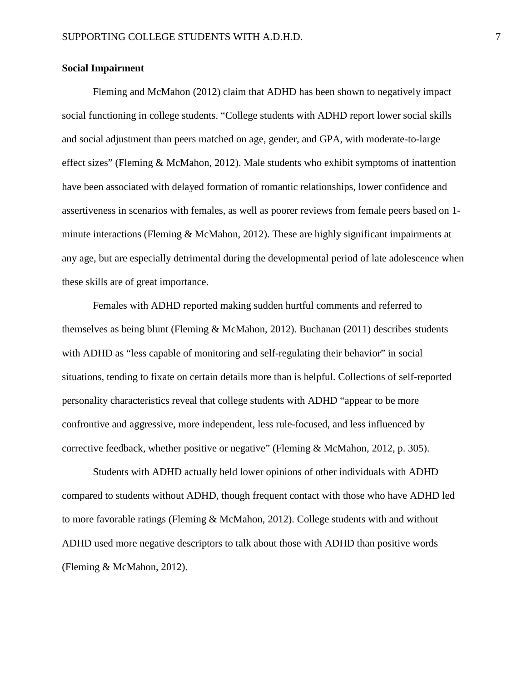#### **Social Impairment**

Fleming and McMahon (2012) claim that ADHD has been shown to negatively impact social functioning in college students. "College students with ADHD report lower social skills and social adjustment than peers matched on age, gender, and GPA, with moderate-to-large effect sizes" (Fleming & McMahon, 2012). Male students who exhibit symptoms of inattention have been associated with delayed formation of romantic relationships, lower confidence and assertiveness in scenarios with females, as well as poorer reviews from female peers based on 1 minute interactions (Fleming & McMahon, 2012). These are highly significant impairments at any age, but are especially detrimental during the developmental period of late adolescence when these skills are of great importance.

Females with ADHD reported making sudden hurtful comments and referred to themselves as being blunt (Fleming & McMahon, 2012). Buchanan (2011) describes students with ADHD as "less capable of monitoring and self-regulating their behavior" in social situations, tending to fixate on certain details more than is helpful. Collections of self-reported personality characteristics reveal that college students with ADHD "appear to be more confrontive and aggressive, more independent, less rule-focused, and less influenced by corrective feedback, whether positive or negative" (Fleming & McMahon, 2012, p. 305).

Students with ADHD actually held lower opinions of other individuals with ADHD compared to students without ADHD, though frequent contact with those who have ADHD led to more favorable ratings (Fleming & McMahon, 2012). College students with and without ADHD used more negative descriptors to talk about those with ADHD than positive words (Fleming & McMahon, 2012).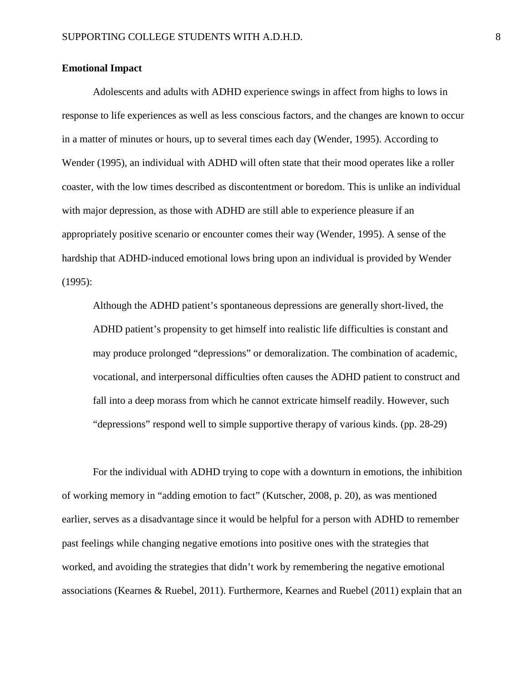#### **Emotional Impact**

Adolescents and adults with ADHD experience swings in affect from highs to lows in response to life experiences as well as less conscious factors, and the changes are known to occur in a matter of minutes or hours, up to several times each day (Wender, 1995). According to Wender (1995), an individual with ADHD will often state that their mood operates like a roller coaster, with the low times described as discontentment or boredom. This is unlike an individual with major depression, as those with ADHD are still able to experience pleasure if an appropriately positive scenario or encounter comes their way (Wender, 1995). A sense of the hardship that ADHD-induced emotional lows bring upon an individual is provided by Wender (1995):

Although the ADHD patient's spontaneous depressions are generally short-lived, the ADHD patient's propensity to get himself into realistic life difficulties is constant and may produce prolonged "depressions" or demoralization. The combination of academic, vocational, and interpersonal difficulties often causes the ADHD patient to construct and fall into a deep morass from which he cannot extricate himself readily. However, such "depressions" respond well to simple supportive therapy of various kinds. (pp. 28-29)

For the individual with ADHD trying to cope with a downturn in emotions, the inhibition of working memory in "adding emotion to fact" (Kutscher, 2008, p. 20), as was mentioned earlier, serves as a disadvantage since it would be helpful for a person with ADHD to remember past feelings while changing negative emotions into positive ones with the strategies that worked, and avoiding the strategies that didn't work by remembering the negative emotional associations (Kearnes & Ruebel, 2011). Furthermore, Kearnes and Ruebel (2011) explain that an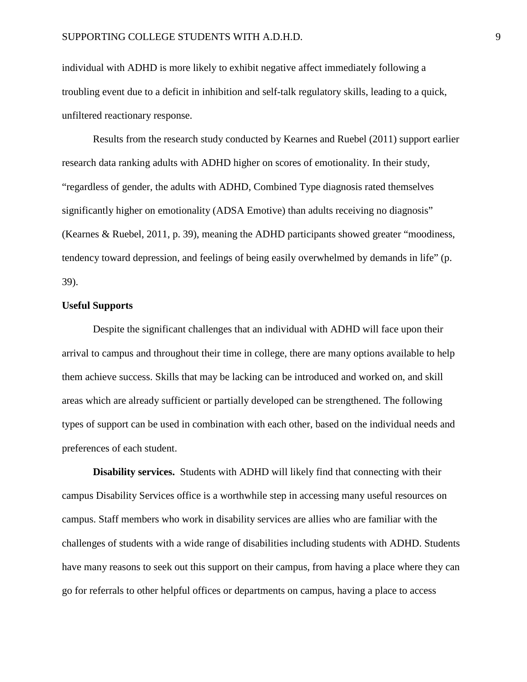individual with ADHD is more likely to exhibit negative affect immediately following a troubling event due to a deficit in inhibition and self-talk regulatory skills, leading to a quick, unfiltered reactionary response.

Results from the research study conducted by Kearnes and Ruebel (2011) support earlier research data ranking adults with ADHD higher on scores of emotionality. In their study, "regardless of gender, the adults with ADHD, Combined Type diagnosis rated themselves significantly higher on emotionality (ADSA Emotive) than adults receiving no diagnosis" (Kearnes & Ruebel, 2011, p. 39), meaning the ADHD participants showed greater "moodiness, tendency toward depression, and feelings of being easily overwhelmed by demands in life" (p. 39).

## **Useful Supports**

Despite the significant challenges that an individual with ADHD will face upon their arrival to campus and throughout their time in college, there are many options available to help them achieve success. Skills that may be lacking can be introduced and worked on, and skill areas which are already sufficient or partially developed can be strengthened. The following types of support can be used in combination with each other, based on the individual needs and preferences of each student.

**Disability services.** Students with ADHD will likely find that connecting with their campus Disability Services office is a worthwhile step in accessing many useful resources on campus. Staff members who work in disability services are allies who are familiar with the challenges of students with a wide range of disabilities including students with ADHD. Students have many reasons to seek out this support on their campus, from having a place where they can go for referrals to other helpful offices or departments on campus, having a place to access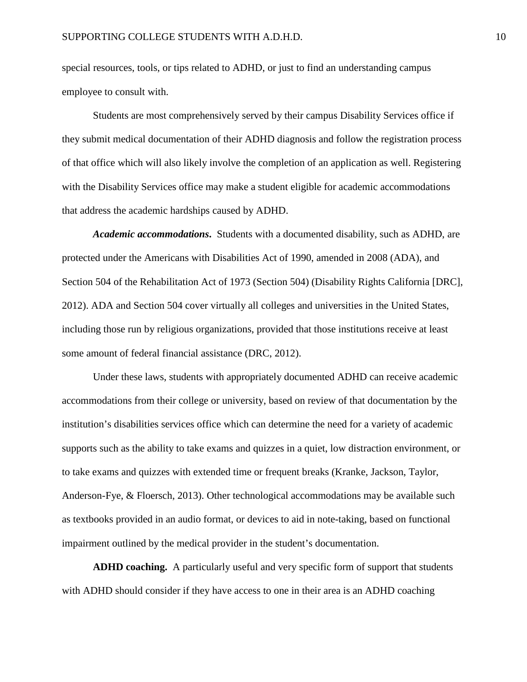special resources, tools, or tips related to ADHD, or just to find an understanding campus employee to consult with.

Students are most comprehensively served by their campus Disability Services office if they submit medical documentation of their ADHD diagnosis and follow the registration process of that office which will also likely involve the completion of an application as well. Registering with the Disability Services office may make a student eligible for academic accommodations that address the academic hardships caused by ADHD.

*Academic accommodations***.** Students with a documented disability, such as ADHD, are protected under the Americans with Disabilities Act of 1990, amended in 2008 (ADA), and Section 504 of the Rehabilitation Act of 1973 (Section 504) (Disability Rights California [DRC], 2012). ADA and Section 504 cover virtually all colleges and universities in the United States, including those run by religious organizations, provided that those institutions receive at least some amount of federal financial assistance (DRC, 2012).

Under these laws, students with appropriately documented ADHD can receive academic accommodations from their college or university, based on review of that documentation by the institution's disabilities services office which can determine the need for a variety of academic supports such as the ability to take exams and quizzes in a quiet, low distraction environment, or to take exams and quizzes with extended time or frequent breaks (Kranke, Jackson, Taylor, Anderson-Fye, & Floersch, 2013). Other technological accommodations may be available such as textbooks provided in an audio format, or devices to aid in note-taking, based on functional impairment outlined by the medical provider in the student's documentation.

**ADHD coaching.** A particularly useful and very specific form of support that students with ADHD should consider if they have access to one in their area is an ADHD coaching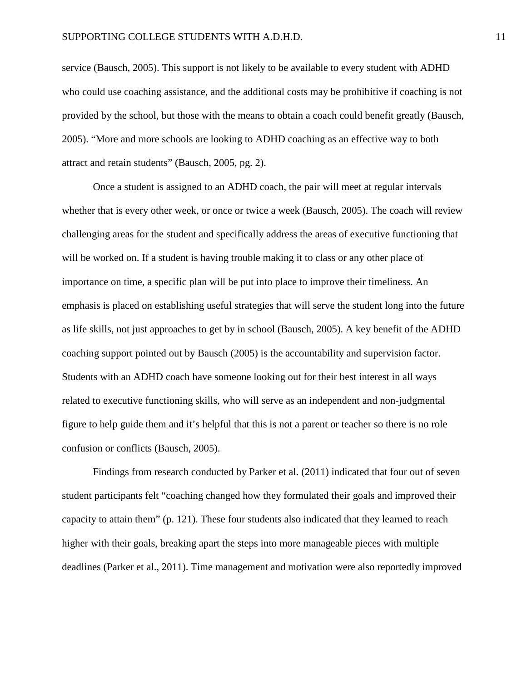service (Bausch, 2005). This support is not likely to be available to every student with ADHD who could use coaching assistance, and the additional costs may be prohibitive if coaching is not provided by the school, but those with the means to obtain a coach could benefit greatly (Bausch, 2005). "More and more schools are looking to ADHD coaching as an effective way to both attract and retain students" (Bausch, 2005, pg. 2).

Once a student is assigned to an ADHD coach, the pair will meet at regular intervals whether that is every other week, or once or twice a week (Bausch, 2005). The coach will review challenging areas for the student and specifically address the areas of executive functioning that will be worked on. If a student is having trouble making it to class or any other place of importance on time, a specific plan will be put into place to improve their timeliness. An emphasis is placed on establishing useful strategies that will serve the student long into the future as life skills, not just approaches to get by in school (Bausch, 2005). A key benefit of the ADHD coaching support pointed out by Bausch (2005) is the accountability and supervision factor. Students with an ADHD coach have someone looking out for their best interest in all ways related to executive functioning skills, who will serve as an independent and non-judgmental figure to help guide them and it's helpful that this is not a parent or teacher so there is no role confusion or conflicts (Bausch, 2005).

Findings from research conducted by Parker et al. (2011) indicated that four out of seven student participants felt "coaching changed how they formulated their goals and improved their capacity to attain them" (p. 121). These four students also indicated that they learned to reach higher with their goals, breaking apart the steps into more manageable pieces with multiple deadlines (Parker et al., 2011). Time management and motivation were also reportedly improved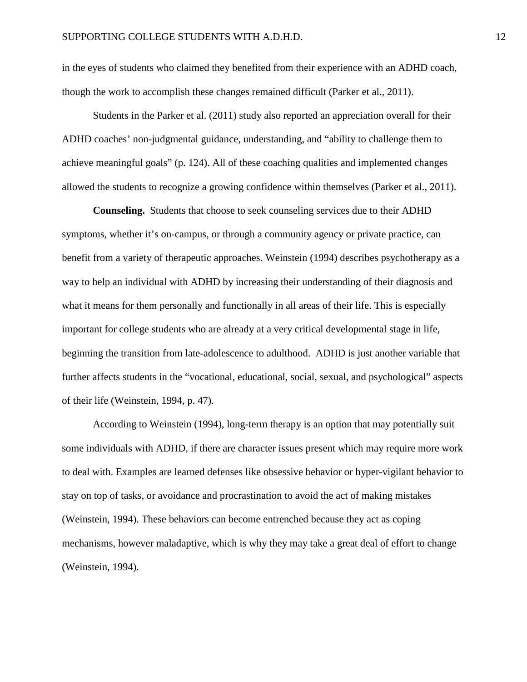in the eyes of students who claimed they benefited from their experience with an ADHD coach, though the work to accomplish these changes remained difficult (Parker et al., 2011).

Students in the Parker et al. (2011) study also reported an appreciation overall for their ADHD coaches' non-judgmental guidance, understanding, and "ability to challenge them to achieve meaningful goals" (p. 124). All of these coaching qualities and implemented changes allowed the students to recognize a growing confidence within themselves (Parker et al., 2011).

**Counseling.** Students that choose to seek counseling services due to their ADHD symptoms, whether it's on-campus, or through a community agency or private practice, can benefit from a variety of therapeutic approaches. Weinstein (1994) describes psychotherapy as a way to help an individual with ADHD by increasing their understanding of their diagnosis and what it means for them personally and functionally in all areas of their life. This is especially important for college students who are already at a very critical developmental stage in life, beginning the transition from late-adolescence to adulthood. ADHD is just another variable that further affects students in the "vocational, educational, social, sexual, and psychological" aspects of their life (Weinstein, 1994, p. 47).

According to Weinstein (1994), long-term therapy is an option that may potentially suit some individuals with ADHD, if there are character issues present which may require more work to deal with. Examples are learned defenses like obsessive behavior or hyper-vigilant behavior to stay on top of tasks, or avoidance and procrastination to avoid the act of making mistakes (Weinstein, 1994). These behaviors can become entrenched because they act as coping mechanisms, however maladaptive, which is why they may take a great deal of effort to change (Weinstein, 1994).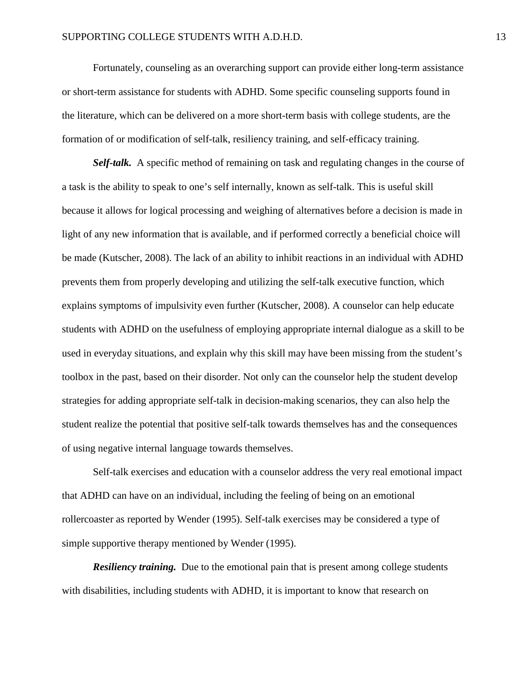Fortunately, counseling as an overarching support can provide either long-term assistance or short-term assistance for students with ADHD. Some specific counseling supports found in the literature, which can be delivered on a more short-term basis with college students, are the formation of or modification of self-talk, resiliency training, and self-efficacy training.

*Self-talk.*A specific method of remaining on task and regulating changes in the course of a task is the ability to speak to one's self internally, known as self-talk. This is useful skill because it allows for logical processing and weighing of alternatives before a decision is made in light of any new information that is available, and if performed correctly a beneficial choice will be made (Kutscher, 2008). The lack of an ability to inhibit reactions in an individual with ADHD prevents them from properly developing and utilizing the self-talk executive function, which explains symptoms of impulsivity even further (Kutscher, 2008). A counselor can help educate students with ADHD on the usefulness of employing appropriate internal dialogue as a skill to be used in everyday situations, and explain why this skill may have been missing from the student's toolbox in the past, based on their disorder. Not only can the counselor help the student develop strategies for adding appropriate self-talk in decision-making scenarios, they can also help the student realize the potential that positive self-talk towards themselves has and the consequences of using negative internal language towards themselves.

Self-talk exercises and education with a counselor address the very real emotional impact that ADHD can have on an individual, including the feeling of being on an emotional rollercoaster as reported by Wender (1995). Self-talk exercises may be considered a type of simple supportive therapy mentioned by Wender (1995).

*Resiliency training.* Due to the emotional pain that is present among college students with disabilities, including students with ADHD, it is important to know that research on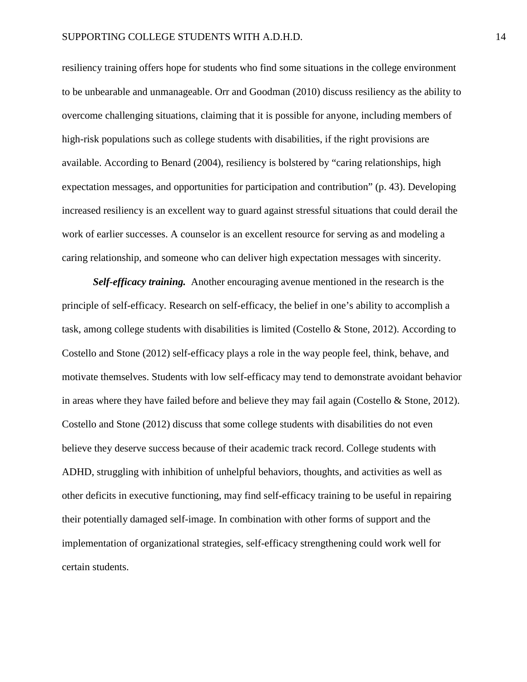resiliency training offers hope for students who find some situations in the college environment to be unbearable and unmanageable. Orr and Goodman (2010) discuss resiliency as the ability to overcome challenging situations, claiming that it is possible for anyone, including members of high-risk populations such as college students with disabilities, if the right provisions are available. According to Benard (2004), resiliency is bolstered by "caring relationships, high expectation messages, and opportunities for participation and contribution" (p. 43). Developing increased resiliency is an excellent way to guard against stressful situations that could derail the work of earlier successes. A counselor is an excellent resource for serving as and modeling a caring relationship, and someone who can deliver high expectation messages with sincerity.

*Self-efficacy training.*Another encouraging avenue mentioned in the research is the principle of self-efficacy. Research on self-efficacy, the belief in one's ability to accomplish a task, among college students with disabilities is limited (Costello & Stone, 2012). According to Costello and Stone (2012) self-efficacy plays a role in the way people feel, think, behave, and motivate themselves. Students with low self-efficacy may tend to demonstrate avoidant behavior in areas where they have failed before and believe they may fail again (Costello  $\&$  Stone, 2012). Costello and Stone (2012) discuss that some college students with disabilities do not even believe they deserve success because of their academic track record. College students with ADHD, struggling with inhibition of unhelpful behaviors, thoughts, and activities as well as other deficits in executive functioning, may find self-efficacy training to be useful in repairing their potentially damaged self-image. In combination with other forms of support and the implementation of organizational strategies, self-efficacy strengthening could work well for certain students.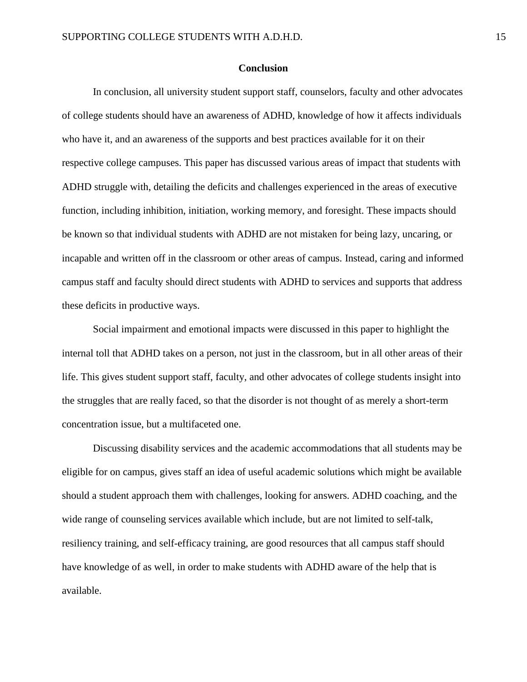#### **Conclusion**

In conclusion, all university student support staff, counselors, faculty and other advocates of college students should have an awareness of ADHD, knowledge of how it affects individuals who have it, and an awareness of the supports and best practices available for it on their respective college campuses. This paper has discussed various areas of impact that students with ADHD struggle with, detailing the deficits and challenges experienced in the areas of executive function, including inhibition, initiation, working memory, and foresight. These impacts should be known so that individual students with ADHD are not mistaken for being lazy, uncaring, or incapable and written off in the classroom or other areas of campus. Instead, caring and informed campus staff and faculty should direct students with ADHD to services and supports that address these deficits in productive ways.

Social impairment and emotional impacts were discussed in this paper to highlight the internal toll that ADHD takes on a person, not just in the classroom, but in all other areas of their life. This gives student support staff, faculty, and other advocates of college students insight into the struggles that are really faced, so that the disorder is not thought of as merely a short-term concentration issue, but a multifaceted one.

Discussing disability services and the academic accommodations that all students may be eligible for on campus, gives staff an idea of useful academic solutions which might be available should a student approach them with challenges, looking for answers. ADHD coaching, and the wide range of counseling services available which include, but are not limited to self-talk, resiliency training, and self-efficacy training, are good resources that all campus staff should have knowledge of as well, in order to make students with ADHD aware of the help that is available.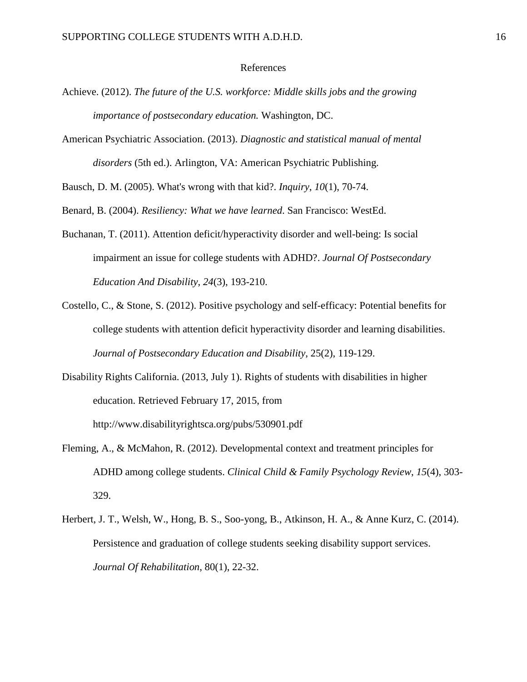#### References

- Achieve. (2012). *The future of the U.S. workforce: Middle skills jobs and the growing importance of postsecondary education.* Washington, DC.
- American Psychiatric Association. (2013). *Diagnostic and statistical manual of mental disorders* (5th ed.). Arlington, VA: American Psychiatric Publishing.

Bausch, D. M. (2005). What's wrong with that kid?. *Inquiry*, *10*(1), 70-74.

Benard, B. (2004). *Resiliency: What we have learned*. San Francisco: WestEd.

- Buchanan, T. (2011). Attention deficit/hyperactivity disorder and well-being: Is social impairment an issue for college students with ADHD?. *Journal Of Postsecondary Education And Disability*, *24*(3), 193-210.
- Costello, C., & Stone, S. (2012). Positive psychology and self-efficacy: Potential benefits for college students with attention deficit hyperactivity disorder and learning disabilities. *Journal of Postsecondary Education and Disability*, 25(2), 119-129.
- Disability Rights California. (2013, July 1). Rights of students with disabilities in higher education. Retrieved February 17, 2015, from http://www.disabilityrightsca.org/pubs/530901.pdf
- Fleming, A., & McMahon, R. (2012). Developmental context and treatment principles for ADHD among college students. *Clinical Child & Family Psychology Review*, *15*(4), 303- 329.
- Herbert, J. T., Welsh, W., Hong, B. S., Soo-yong, B., Atkinson, H. A., & Anne Kurz, C. (2014). Persistence and graduation of college students seeking disability support services. *Journal Of Rehabilitation*, 80(1), 22-32.